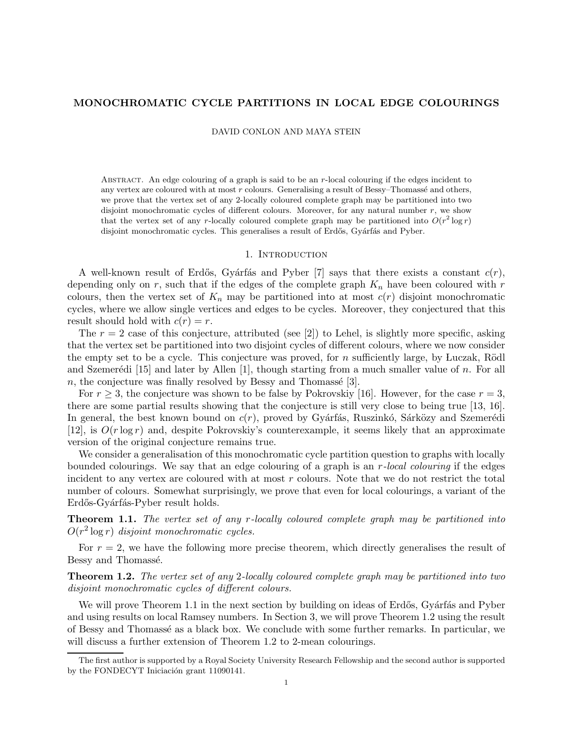# MONOCHROMATIC CYCLE PARTITIONS IN LOCAL EDGE COLOURINGS

DAVID CONLON AND MAYA STEIN

ABSTRACT. An edge colouring of a graph is said to be an r-local colouring if the edges incident to any vertex are coloured with at most  $r$  colours. Generalising a result of Bessy-Thomassé and others, we prove that the vertex set of any 2-locally coloured complete graph may be partitioned into two disjoint monochromatic cycles of different colours. Moreover, for any natural number  $r$ , we show that the vertex set of any r-locally coloured complete graph may be partitioned into  $O(r^2 \log r)$ disjoint monochromatic cycles. This generalises a result of Erdős, Gyárfás and Pyber.

### 1. INTRODUCTION

A well-known result of Erdős, Gyárfás and Pyber [7] says that there exists a constant  $c(r)$ , depending only on r, such that if the edges of the complete graph  $K_n$  have been coloured with r colours, then the vertex set of  $K_n$  may be partitioned into at most  $c(r)$  disjoint monochromatic cycles, where we allow single vertices and edges to be cycles. Moreover, they conjectured that this result should hold with  $c(r) = r$ .

The  $r = 2$  case of this conjecture, attributed (see [2]) to Lehel, is slightly more specific, asking that the vertex set be partitioned into two disjoint cycles of different colours, where we now consider the empty set to be a cycle. This conjecture was proved, for n sufficiently large, by Luczak, Rödl and Szemerédi  $[15]$  and later by Allen  $[1]$ , though starting from a much smaller value of n. For all  $n$ , the conjecture was finally resolved by Bessy and Thomassé [3].

For  $r \geq 3$ , the conjecture was shown to be false by Pokrovskiy [16]. However, for the case  $r = 3$ , there are some partial results showing that the conjecture is still very close to being true [13, 16]. In general, the best known bound on  $c(r)$ , proved by Gyárfás, Ruszinkó, Sárközy and Szemerédi [12], is  $O(r \log r)$  and, despite Pokrovskiy's counterexample, it seems likely that an approximate version of the original conjecture remains true.

We consider a generalisation of this monochromatic cycle partition question to graphs with locally bounded colourings. We say that an edge colouring of a graph is an r-local colouring if the edges incident to any vertex are coloured with at most r colours. Note that we do not restrict the total number of colours. Somewhat surprisingly, we prove that even for local colourings, a variant of the Erdős-Gyárfás-Pyber result holds.

**Theorem 1.1.** The vertex set of any r-locally coloured complete graph may be partitioned into  $O(r^2 \log r)$  disjoint monochromatic cycles.

For  $r = 2$ , we have the following more precise theorem, which directly generalises the result of Bessy and Thomassé.

**Theorem 1.2.** The vertex set of any 2-locally coloured complete graph may be partitioned into two disjoint monochromatic cycles of different colours.

We will prove Theorem 1.1 in the next section by building on ideas of Erdős, Gyárfás and Pyber and using results on local Ramsey numbers. In Section 3, we will prove Theorem 1.2 using the result of Bessy and Thomassé as a black box. We conclude with some further remarks. In particular, we will discuss a further extension of Theorem 1.2 to 2-mean colourings.

The first author is supported by a Royal Society University Research Fellowship and the second author is supported by the FONDECYT Iniciación grant 11090141.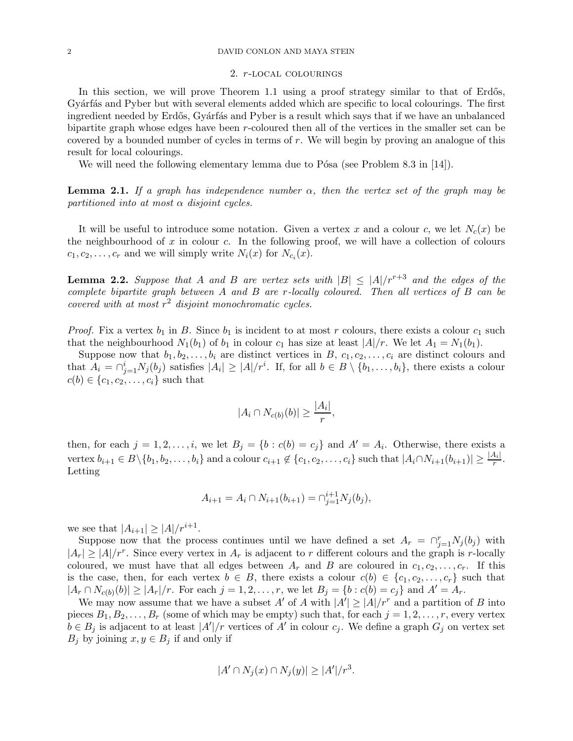### 2 DAVID CONLON AND MAYA STEIN

#### 2. r-local colourings

In this section, we will prove Theorem 1.1 using a proof strategy similar to that of Erdős, Gyárfás and Pyber but with several elements added which are specific to local colourings. The first ingredient needed by Erdős, Gyárfás and Pyber is a result which says that if we have an unbalanced bipartite graph whose edges have been r-coloured then all of the vertices in the smaller set can be covered by a bounded number of cycles in terms of r. We will begin by proving an analogue of this result for local colourings.

We will need the following elementary lemma due to Pósa (see Problem 8.3 in  $[14]$ ).

**Lemma 2.1.** If a graph has independence number  $\alpha$ , then the vertex set of the graph may be partitioned into at most  $\alpha$  disjoint cycles.

It will be useful to introduce some notation. Given a vertex x and a colour c, we let  $N_c(x)$  be the neighbourhood of  $x$  in colour  $c$ . In the following proof, we will have a collection of colours  $c_1, c_2, \ldots, c_r$  and we will simply write  $N_i(x)$  for  $N_{c_i}(x)$ .

**Lemma 2.2.** Suppose that A and B are vertex sets with  $|B| \leq |A|/r^{r+3}$  and the edges of the complete bipartite graph between A and B are r-locally coloured. Then all vertices of B can be covered with at most  $r^2$  disjoint monochromatic cycles.

*Proof.* Fix a vertex  $b_1$  in B. Since  $b_1$  is incident to at most r colours, there exists a colour  $c_1$  such that the neighbourhood  $N_1(b_1)$  of  $b_1$  in colour  $c_1$  has size at least  $|A|/r$ . We let  $A_1 = N_1(b_1)$ .

Suppose now that  $b_1, b_2, \ldots, b_i$  are distinct vertices in B,  $c_1, c_2, \ldots, c_i$  are distinct colours and that  $A_i = \bigcap_{j=1}^i N_j(b_j)$  satisfies  $|A_i| \geq |A|/r^i$ . If, for all  $b \in B \setminus \{b_1, \ldots, b_i\}$ , there exists a colour  $c(b) \in \{c_1, c_2, ..., c_i\}$  such that

$$
|A_i \cap N_{c(b)}(b)| \ge \frac{|A_i|}{r},
$$

then, for each  $j = 1, 2, \ldots, i$ , we let  $B_j = \{b : c(b) = c_j\}$  and  $A' = A_i$ . Otherwise, there exists a vertex  $b_{i+1} \in B \setminus \{b_1, b_2, \ldots, b_i\}$  and a colour  $c_{i+1} \notin \{c_1, c_2, \ldots, c_i\}$  such that  $|A_i \cap N_{i+1}(b_{i+1})| \geq \frac{|A_i|}{r}$ . Letting

$$
A_{i+1} = A_i \cap N_{i+1}(b_{i+1}) = \cap_{j=1}^{i+1} N_j(b_j),
$$

we see that  $|A_{i+1}| \geq |A|/r^{i+1}$ .

Suppose now that the process continues until we have defined a set  $A_r = \bigcap_{j=1}^r N_j(b_j)$  with  $|A_r| \geq |A|/r^r$ . Since every vertex in  $A_r$  is adjacent to r different colours and the graph is r-locally coloured, we must have that all edges between  $A_r$  and B are coloured in  $c_1, c_2, \ldots, c_r$ . If this is the case, then, for each vertex  $b \in B$ , there exists a colour  $c(b) \in \{c_1, c_2, \ldots, c_r\}$  such that  $|A_r \cap N_{c(b)}(b)| \geq |A_r|/r$ . For each  $j = 1, 2, ..., r$ , we let  $B_j = \{b : c(b) = c_j\}$  and  $A' = A_r$ .

We may now assume that we have a subset A' of A with  $|A'| \geq |A|/r^r$  and a partition of B into pieces  $B_1, B_2, \ldots, B_r$  (some of which may be empty) such that, for each  $j = 1, 2, \ldots, r$ , every vertex  $b \in B_j$  is adjacent to at least  $|A'|/r$  vertices of  $A'$  in colour  $c_j$ . We define a graph  $G_j$  on vertex set  $B_i$  by joining  $x, y \in B_i$  if and only if

$$
|A' \cap N_j(x) \cap N_j(y)| \geq |A'|/r^3.
$$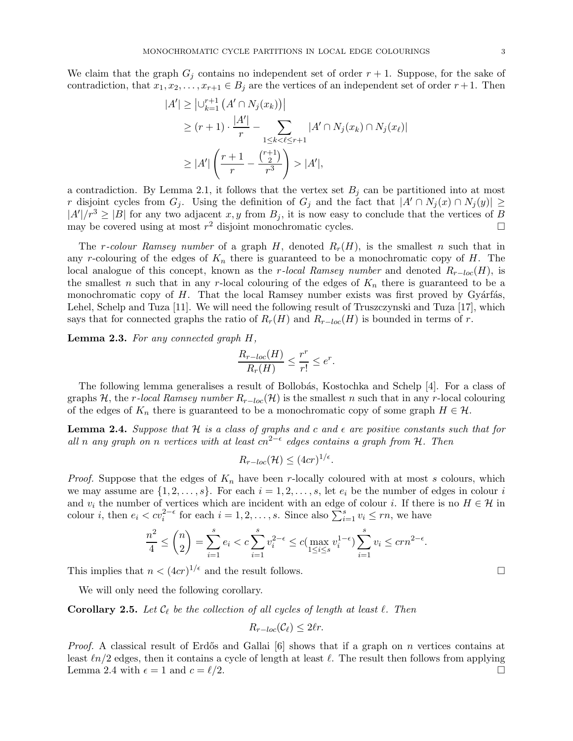We claim that the graph  $G_i$  contains no independent set of order  $r + 1$ . Suppose, for the sake of contradiction, that  $x_1, x_2, \ldots, x_{r+1} \in B_j$  are the vertices of an independent set of order  $r+1$ . Then

$$
|A'| \geq |U_{k=1}^{r+1} (A' \cap N_j(x_k))|
$$
  
\n
$$
\geq (r+1) \cdot \frac{|A'|}{r} - \sum_{1 \leq k < \ell \leq r+1} |A' \cap N_j(x_k) \cap N_j(x_\ell)|
$$
  
\n
$$
\geq |A'| \left( \frac{r+1}{r} - \frac{\binom{r+1}{2}}{r^3} \right) > |A'|,
$$

a contradiction. By Lemma 2.1, it follows that the vertex set  $B_i$  can be partitioned into at most r disjoint cycles from  $G_j$ . Using the definition of  $G_j$  and the fact that  $|A' \cap N_j(x) \cap N_j(y)| \ge$  $|A'|/r^3 \geq |B|$  for any two adjacent  $x, y$  from  $B_j$ , it is now easy to conclude that the vertices of B may be covered using at most  $r^2$  disjoint monochromatic cycles.

The r-colour Ramsey number of a graph H, denoted  $R_r(H)$ , is the smallest n such that in any r-colouring of the edges of  $K_n$  there is guaranteed to be a monochromatic copy of H. The local analogue of this concept, known as the r-local Ramsey number and denoted  $R_{r-loc}(H)$ , is the smallest n such that in any r-local colouring of the edges of  $K_n$  there is guaranteed to be a monochromatic copy of  $H$ . That the local Ramsey number exists was first proved by Gyárfás, Lehel, Schelp and Tuza [11]. We will need the following result of Truszczynski and Tuza [17], which says that for connected graphs the ratio of  $R_r(H)$  and  $R_{r-loc}(H)$  is bounded in terms of r.

Lemma 2.3. For any connected graph  $H$ ,

$$
\frac{R_{r-loc}(H)}{R_r(H)} \le \frac{r^r}{r!} \le e^r.
$$

The following lemma generalises a result of Bollobás, Kostochka and Schelp [4]. For a class of graphs H, the r-local Ramsey number  $R_{r-loc}(\mathcal{H})$  is the smallest n such that in any r-local colouring of the edges of  $K_n$  there is guaranteed to be a monochromatic copy of some graph  $H \in \mathcal{H}$ .

**Lemma 2.4.** Suppose that  $H$  is a class of graphs and c and  $\epsilon$  are positive constants such that for all n any graph on n vertices with at least cn<sup>2- $\epsilon$ </sup> edges contains a graph from H. Then

$$
R_{r-loc}(\mathcal{H}) \le (4cr)^{1/\epsilon}
$$

.

*Proof.* Suppose that the edges of  $K_n$  have been r-locally coloured with at most s colours, which we may assume are  $\{1, 2, \ldots, s\}$ . For each  $i = 1, 2, \ldots, s$ , let  $e_i$  be the number of edges in colour i and  $v_i$  the number of vertices which are incident with an edge of colour *i*. If there is no  $H \in \mathcal{H}$  in colour *i*, then  $e_i < cv_i^{2-\epsilon}$  for each  $i = 1, 2, ..., s$ . Since also  $\sum_{i=1}^{s} v_i \le rn$ , we have

$$
\frac{n^2}{4} \le \binom{n}{2} = \sum_{i=1}^s e_i < c \sum_{i=1}^s v_i^{2-\epsilon} \le c \big( \max_{1 \le i \le s} v_i^{1-\epsilon} \big) \sum_{i=1}^s v_i \le c \epsilon n^{2-\epsilon}.
$$

This implies that  $n < (4cr)^{1/\epsilon}$  and the result follows.

We will only need the following corollary.

**Corollary 2.5.** Let  $\mathcal{C}_{\ell}$  be the collection of all cycles of length at least  $\ell$ . Then

$$
R_{r-loc}(\mathcal{C}_{\ell}) \leq 2\ell r.
$$

*Proof.* A classical result of Erdős and Gallai [6] shows that if a graph on n vertices contains at least  $ln/2$  edges, then it contains a cycle of length at least  $\ell$ . The result then follows from applying Lemma 2.4 with  $\epsilon = 1$  and  $c = \ell/2$ .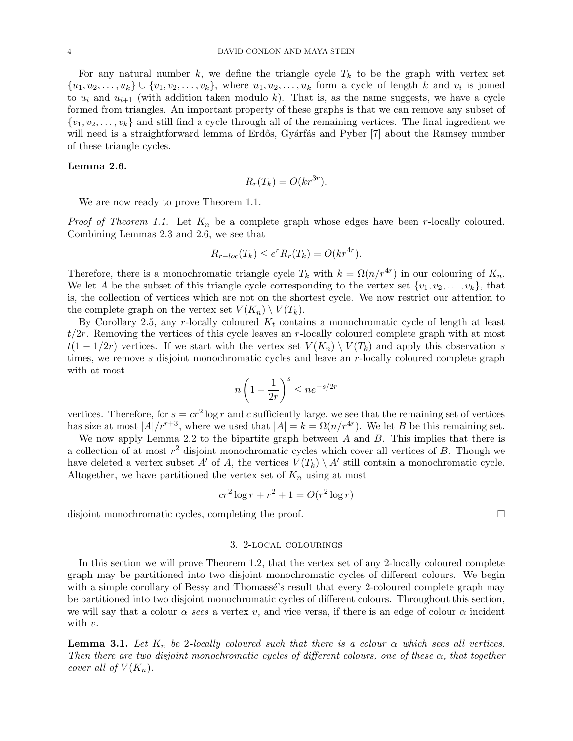For any natural number k, we define the triangle cycle  $T_k$  to be the graph with vertex set  $\{u_1, u_2, \ldots, u_k\} \cup \{v_1, v_2, \ldots, v_k\}$ , where  $u_1, u_2, \ldots, u_k$  form a cycle of length k and  $v_i$  is joined to  $u_i$  and  $u_{i+1}$  (with addition taken modulo k). That is, as the name suggests, we have a cycle formed from triangles. An important property of these graphs is that we can remove any subset of  $\{v_1, v_2, \ldots, v_k\}$  and still find a cycle through all of the remaining vertices. The final ingredient we will need is a straightforward lemma of Erdős, Gyárfás and Pyber [7] about the Ramsey number of these triangle cycles.

### Lemma 2.6.

$$
R_r(T_k) = O(kr^{3r}).
$$

We are now ready to prove Theorem 1.1.

*Proof of Theorem 1.1.* Let  $K_n$  be a complete graph whose edges have been r-locally coloured. Combining Lemmas 2.3 and 2.6, we see that

$$
R_{r-loc}(T_k) \le e^r R_r(T_k) = O(kr^{4r}).
$$

Therefore, there is a monochromatic triangle cycle  $T_k$  with  $k = \Omega(n/r^{4r})$  in our colouring of  $K_n$ . We let A be the subset of this triangle cycle corresponding to the vertex set  $\{v_1, v_2, \ldots, v_k\}$ , that is, the collection of vertices which are not on the shortest cycle. We now restrict our attention to the complete graph on the vertex set  $V(K_n) \setminus V(T_k)$ .

By Corollary 2.5, any r-locally coloured  $K_t$  contains a monochromatic cycle of length at least  $t/2r$ . Removing the vertices of this cycle leaves an r-locally coloured complete graph with at most  $t(1 - 1/2r)$  vertices. If we start with the vertex set  $V(K_n) \setminus V(T_k)$  and apply this observation s times, we remove s disjoint monochromatic cycles and leave an r-locally coloured complete graph with at most

$$
n\left(1-\frac{1}{2r}\right)^s \le ne^{-s/2r}
$$

vertices. Therefore, for  $s = cr^2 \log r$  and c sufficiently large, we see that the remaining set of vertices has size at most  $|A|/r^{r+3}$ , where we used that  $|A| = k = \Omega(n/r^{4r})$ . We let B be this remaining set.

We now apply Lemma 2.2 to the bipartite graph between  $A$  and  $B$ . This implies that there is a collection of at most  $r^2$  disjoint monochromatic cycles which cover all vertices of  $B$ . Though we have deleted a vertex subset A' of A, the vertices  $V(T_k) \setminus A'$  still contain a monochromatic cycle. Altogether, we have partitioned the vertex set of  $K_n$  using at most

$$
cr2 \log r + r2 + 1 = O(r2 \log r)
$$

disjoint monochromatic cycles, completing the proof.

## 3. 2-local colourings

In this section we will prove Theorem 1.2, that the vertex set of any 2-locally coloured complete graph may be partitioned into two disjoint monochromatic cycles of different colours. We begin with a simple corollary of Bessy and Thomassé's result that every 2-coloured complete graph may be partitioned into two disjoint monochromatic cycles of different colours. Throughout this section, we will say that a colour  $\alpha$  sees a vertex v, and vice versa, if there is an edge of colour  $\alpha$  incident with  $v$ .

**Lemma 3.1.** Let  $K_n$  be 2-locally coloured such that there is a colour  $\alpha$  which sees all vertices. Then there are two disjoint monochromatic cycles of different colours, one of these  $\alpha$ , that together cover all of  $V(K_n)$ .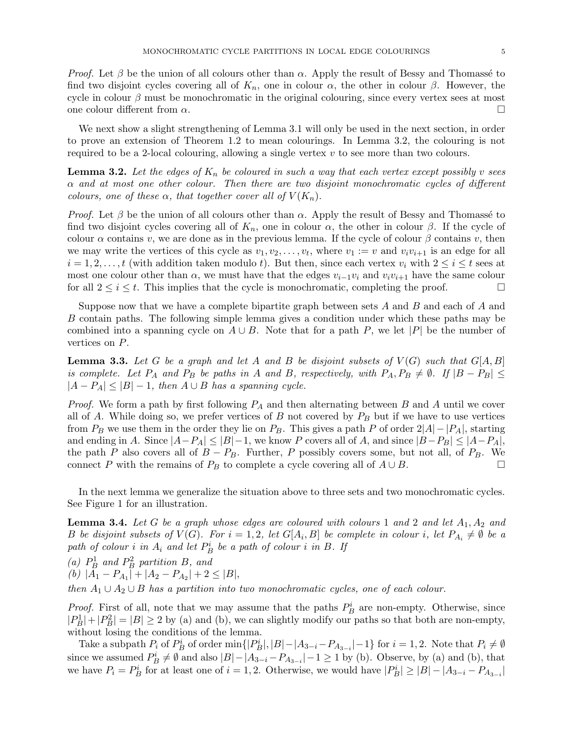*Proof.* Let  $\beta$  be the union of all colours other than  $\alpha$ . Apply the result of Bessy and Thomassé to find two disjoint cycles covering all of  $K_n$ , one in colour  $\alpha$ , the other in colour  $\beta$ . However, the cycle in colour  $\beta$  must be monochromatic in the original colouring, since every vertex sees at most one colour different from  $\alpha$ .

We next show a slight strengthening of Lemma 3.1 will only be used in the next section, in order to prove an extension of Theorem 1.2 to mean colourings. In Lemma 3.2, the colouring is not required to be a 2-local colouring, allowing a single vertex  $v$  to see more than two colours.

**Lemma 3.2.** Let the edges of  $K_n$  be coloured in such a way that each vertex except possibly v sees  $\alpha$  and at most one other colour. Then there are two disjoint monochromatic cycles of different colours, one of these  $\alpha$ , that together cover all of  $V(K_n)$ .

*Proof.* Let  $\beta$  be the union of all colours other than  $\alpha$ . Apply the result of Bessy and Thomassé to find two disjoint cycles covering all of  $K_n$ , one in colour  $\alpha$ , the other in colour  $\beta$ . If the cycle of colour  $\alpha$  contains v, we are done as in the previous lemma. If the cycle of colour  $\beta$  contains v, then we may write the vertices of this cycle as  $v_1, v_2, \ldots, v_t$ , where  $v_1 := v$  and  $v_i v_{i+1}$  is an edge for all  $i = 1, 2, \ldots, t$  (with addition taken modulo t). But then, since each vertex  $v_i$  with  $2 \le i \le t$  sees at most one colour other than  $\alpha$ , we must have that the edges  $v_{i-1}v_i$  and  $v_iv_{i+1}$  have the same colour for all  $2 \leq i \leq t$ . This implies that the cycle is monochromatic, completing the proof.

Suppose now that we have a complete bipartite graph between sets A and B and each of A and B contain paths. The following simple lemma gives a condition under which these paths may be combined into a spanning cycle on  $A \cup B$ . Note that for a path P, we let |P| be the number of vertices on P.

**Lemma 3.3.** Let G be a graph and let A and B be disjoint subsets of  $V(G)$  such that  $G[A, B]$ is complete. Let  $P_A$  and  $P_B$  be paths in A and B, respectively, with  $P_A, P_B \neq \emptyset$ . If  $|B - P_B| \leq$  $|A - P_A| \leq |B| - 1$ , then  $A \cup B$  has a spanning cycle.

*Proof.* We form a path by first following  $P_A$  and then alternating between  $B$  and  $A$  until we cover all of A. While doing so, we prefer vertices of B not covered by  $P_B$  but if we have to use vertices from  $P_B$  we use them in the order they lie on  $P_B$ . This gives a path P of order  $2|A| - |P_A|$ , starting and ending in A. Since  $|A-P_A| \leq |B|-1$ , we know P covers all of A, and since  $|B-P_B| \leq |A-P_A|$ , the path P also covers all of  $B - P_B$ . Further, P possibly covers some, but not all, of  $P_B$ . We connect P with the remains of  $P_B$  to complete a cycle covering all of  $A \cup B$ .

In the next lemma we generalize the situation above to three sets and two monochromatic cycles. See Figure 1 for an illustration.

**Lemma 3.4.** Let G be a graph whose edges are coloured with colours 1 and 2 and let  $A_1, A_2$  and B be disjoint subsets of  $V(G)$ . For  $i = 1, 2$ , let  $G[A_i, B]$  be complete in colour i, let  $P_{A_i} \neq \emptyset$  be a path of colour i in  $A_i$  and let  $P_B^i$  be a path of colour i in  $B$ . If

(a)  $P_B^1$  and  $P_B^2$  partition B, and (b)  $|A_1 - P_{A_1}| + |A_2 - P_{A_2}| + 2 \leq |B|$ ,

then  $A_1 \cup A_2 \cup B$  has a partition into two monochromatic cycles, one of each colour.

*Proof.* First of all, note that we may assume that the paths  $P_B^i$  are non-empty. Otherwise, since  $|P_B^1|+|P_B^2|=|B|\geq 2$  by (a) and (b), we can slightly modify our paths so that both are non-empty, without losing the conditions of the lemma.

Take a subpath  $P_i$  of  $P_B^i$  of order  $\min\{|P_B^i|, |B| - |A_{3-i} - P_{A_{3-i}}| - 1\}$  for  $i = 1, 2$ . Note that  $P_i \neq \emptyset$ since we assumed  $P_B^i \neq \emptyset$  and also  $|B| - |A_{3-i} - P_{A_{3-i}}| - 1 \ge 1$  by (b). Observe, by (a) and (b), that we have  $P_i = P_B^i$  for at least one of  $i = 1, 2$ . Otherwise, we would have  $|P_B^i| \geq |B| - |A_{3-i} - P_{A_{3-i}}|$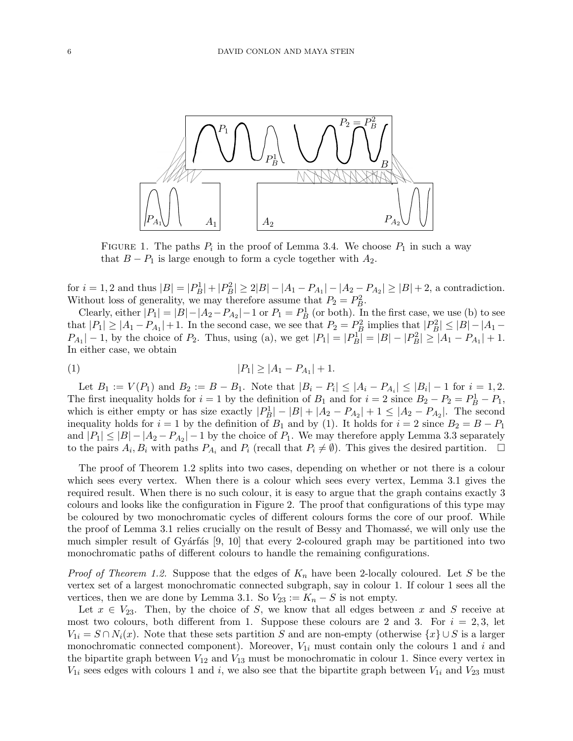

FIGURE 1. The paths  $P_i$  in the proof of Lemma 3.4. We choose  $P_1$  in such a way that  $B - P_1$  is large enough to form a cycle together with  $A_2$ .

for  $i = 1, 2$  and thus  $|B| = |P_B^1| + |P_B^2| \ge 2|B| - |A_1 - P_{A_1}| - |A_2 - P_{A_2}| \ge |B| + 2$ , a contradiction. Without loss of generality, we may therefore assume that  $P_2 = P_B^2$ .

Clearly, either  $|P_1| = |B| - |A_2 - P_{A_2}| - 1$  or  $P_1 = P_B^1$  (or both). In the first case, we use (b) to see that  $|P_1| \geq |A_1 - P_{A_1}| + 1$ . In the second case, we see that  $P_2 = P_B^2$  implies that  $|P_B^2| \leq |B| - |A_1 - A_2|$  $P_{A_1}|-1$ , by the choice of  $P_2$ . Thus, using (a), we get  $|P_1|=|P_B| = |B|-|P_B^2| \ge |A_1 - P_{A_1}| + 1$ . In either case, we obtain

$$
|P_1| \ge |A_1 - P_{A_1}| + 1.
$$

Let  $B_1 := V(P_1)$  and  $B_2 := B - B_1$ . Note that  $|B_i - P_i| \leq |A_i - P_{A_i}| \leq |B_i| - 1$  for  $i = 1, 2$ . The first inequality holds for  $i = 1$  by the definition of  $B_1$  and for  $i = 2$  since  $B_2 - P_2 = P_B^1 - P_1$ , which is either empty or has size exactly  $|P_B^1| - |B| + |A_2 - P_{A_2}| + 1 \leq |A_2 - P_{A_2}|$ . The second inequality holds for  $i = 1$  by the definition of  $B_1$  and by (1). It holds for  $i = 2$  since  $B_2 = B - P_1$ and  $|P_1| \leq |B| - |A_2 - P_{A_2}| - 1$  by the choice of  $P_1$ . We may therefore apply Lemma 3.3 separately to the pairs  $A_i, B_i$  with paths  $P_{A_i}$  and  $P_i$  (recall that  $P_i \neq \emptyset$ ). This gives the desired partition.  $\Box$ 

The proof of Theorem 1.2 splits into two cases, depending on whether or not there is a colour which sees every vertex. When there is a colour which sees every vertex, Lemma 3.1 gives the required result. When there is no such colour, it is easy to argue that the graph contains exactly 3 colours and looks like the configuration in Figure 2. The proof that configurations of this type may be coloured by two monochromatic cycles of different colours forms the core of our proof. While the proof of Lemma 3.1 relies crucially on the result of Bessy and Thomassé, we will only use the much simpler result of Gyárfás  $[9, 10]$  that every 2-coloured graph may be partitioned into two monochromatic paths of different colours to handle the remaining configurations.

*Proof of Theorem 1.2.* Suppose that the edges of  $K_n$  have been 2-locally coloured. Let S be the vertex set of a largest monochromatic connected subgraph, say in colour 1. If colour 1 sees all the vertices, then we are done by Lemma 3.1. So  $V_{23} := K_n - S$  is not empty.

Let  $x \in V_{23}$ . Then, by the choice of S, we know that all edges between x and S receive at most two colours, both different from 1. Suppose these colours are 2 and 3. For  $i = 2,3$ , let  $V_{1i} = S \cap N_i(x)$ . Note that these sets partition S and are non-empty (otherwise  $\{x\} \cup S$  is a larger monochromatic connected component). Moreover,  $V_{1i}$  must contain only the colours 1 and i and the bipartite graph between  $V_{12}$  and  $V_{13}$  must be monochromatic in colour 1. Since every vertex in  $V_{1i}$  sees edges with colours 1 and i, we also see that the bipartite graph between  $V_{1i}$  and  $V_{23}$  must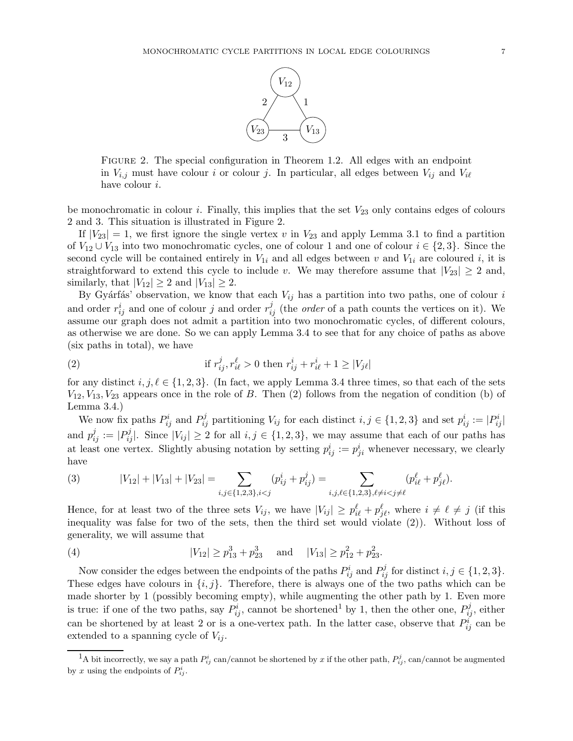

Figure 2. The special configuration in Theorem 1.2. All edges with an endpoint in  $V_{i,j}$  must have colour i or colour j. In particular, all edges between  $V_{ij}$  and  $V_{i\ell}$ have colour i.

be monochromatic in colour i. Finally, this implies that the set  $V_{23}$  only contains edges of colours 2 and 3. This situation is illustrated in Figure 2.

If  $|V_{23}| = 1$ , we first ignore the single vertex v in  $V_{23}$  and apply Lemma 3.1 to find a partition of  $V_{12} \cup V_{13}$  into two monochromatic cycles, one of colour 1 and one of colour  $i \in \{2,3\}$ . Since the second cycle will be contained entirely in  $V_{1i}$  and all edges between v and  $V_{1i}$  are coloured i, it is straightforward to extend this cycle to include v. We may therefore assume that  $|V_{23}| \geq 2$  and, similarly, that  $|V_{12}| \geq 2$  and  $|V_{13}| \geq 2$ .

By Gyárfás' observation, we know that each  $V_{ij}$  has a partition into two paths, one of colour i and order  $r_{ij}^i$  and one of colour j and order  $r_{ij}^j$  (the *order* of a path counts the vertices on it). We assume our graph does not admit a partition into two monochromatic cycles, of different colours, as otherwise we are done. So we can apply Lemma 3.4 to see that for any choice of paths as above (six paths in total), we have

(2) if 
$$
r_{ij}^j, r_{i\ell}^{\ell} > 0
$$
 then  $r_{ij}^i + r_{i\ell}^i + 1 \ge |V_{j\ell}|$ 

for any distinct  $i, j, \ell \in \{1, 2, 3\}$ . (In fact, we apply Lemma 3.4 three times, so that each of the sets  $V_{12}, V_{13}, V_{23}$  appears once in the role of B. Then (2) follows from the negation of condition (b) of Lemma 3.4.)

We now fix paths  $P_{ij}^i$  and  $P_{ij}^j$  partitioning  $V_{ij}$  for each distinct  $i, j \in \{1, 2, 3\}$  and set  $p_{ij}^i := |P_{ij}^i|$ and  $p_{ij}^j := |P_{ij}^j|$ . Since  $|V_{ij}| \ge 2$  for all  $i, j \in \{1, 2, 3\}$ , we may assume that each of our paths has at least one vertex. Slightly abusing notation by setting  $p_{ij}^i := p_{ji}^i$  whenever necessary, we clearly have

(3) 
$$
|V_{12}| + |V_{13}| + |V_{23}| = \sum_{i,j \in \{1,2,3\}, i < j} (p_{ij}^i + p_{ij}^j) = \sum_{i,j,\ell \in \{1,2,3\}, \ell \neq i < j \neq \ell} (p_{i\ell}^\ell + p_{j\ell}^\ell).
$$

Hence, for at least two of the three sets  $V_{ij}$ , we have  $|V_{ij}| \ge p_{i\ell}^{\ell} + p_{j\ell}^{\ell}$ , where  $i \neq \ell \neq j$  (if this inequality was false for two of the sets, then the third set would violate (2)). Without loss of generality, we will assume that

(4) 
$$
|V_{12}| \ge p_{13}^3 + p_{23}^3
$$
 and  $|V_{13}| \ge p_{12}^2 + p_{23}^2$ .

Now consider the edges between the endpoints of the paths  $P_{ij}^i$  and  $P_{ij}^j$  for distinct  $i, j \in \{1, 2, 3\}$ . These edges have colours in  $\{i, j\}$ . Therefore, there is always one of the two paths which can be made shorter by 1 (possibly becoming empty), while augmenting the other path by 1. Even more is true: if one of the two paths, say  $P_{ij}^i$ , cannot be shortened<sup>1</sup> by 1, then the other one,  $P_{ij}^j$ , either can be shortened by at least 2 or is a one-vertex path. In the latter case, observe that  $P_{ij}^i$  can be extended to a spanning cycle of  $V_{ij}$ .

<sup>&</sup>lt;sup>1</sup>A bit incorrectly, we say a path  $P_{ij}^i$  can/cannot be shortened by x if the other path,  $P_{ij}^j$ , can/cannot be augmented by x using the endpoints of  $P_{ij}^i$ .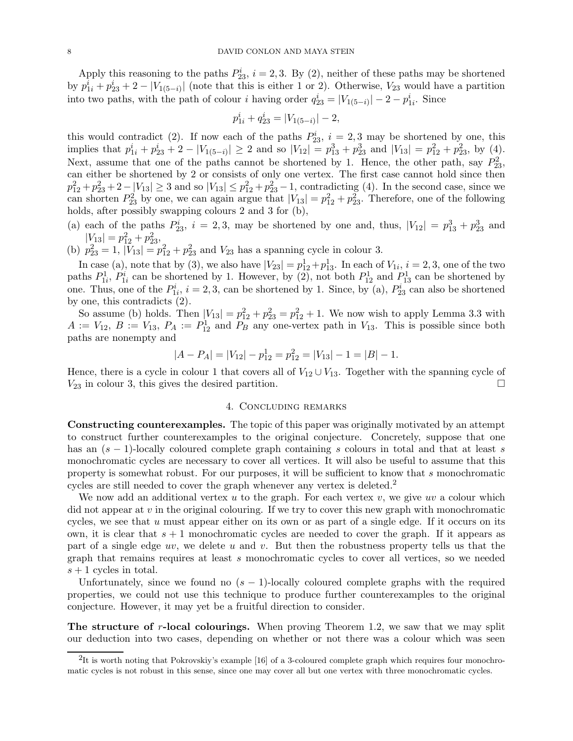Apply this reasoning to the paths  $P_{23}^i$ ,  $i = 2, 3$ . By (2), neither of these paths may be shortened by  $p_{1i}^i + p_{23}^i + 2 - |V_{1(5-i)}|$  (note that this is either 1 or 2). Otherwise,  $V_{23}$  would have a partition into two paths, with the path of colour *i* having order  $q_{23}^i = |V_{1(5-i)}| - 2 - p_{1i}^i$ . Since

$$
p_{1i}^i + q_{23}^i = |V_{1(5-i)}| - 2,
$$

this would contradict (2). If now each of the paths  $P_{23}^i$ ,  $i = 2, 3$  may be shortened by one, this implies that  $p_{1i}^i + p_{23}^i + 2 - |V_{1(5-i)}| \ge 2$  and so  $|V_{12}| = p_{13}^3 + p_{23}^3$  and  $|V_{13}| = p_{12}^2 + p_{23}^2$ , by (4). Next, assume that one of the paths cannot be shortened by 1. Hence, the other path, say  $P_{23}^2$ , can either be shortened by 2 or consists of only one vertex. The first case cannot hold since then  $p_{12}^2 + p_{23}^2 + 2 - |V_{13}| \ge 3$  and so  $|V_{13}| \le p_{12}^2 + p_{23}^2 - 1$ , contradicting (4). In the second case, since we can shorten  $P_{23}^2$  by one, we can again argue that  $|V_{13}| = p_{12}^2 + p_{23}^2$ . Therefore, one of the following holds, after possibly swapping colours 2 and 3 for (b),

(a) each of the paths  $P_{23}^i$ ,  $i = 2, 3$ , may be shortened by one and, thus,  $|V_{12}| = p_{13}^3 + p_{23}^3$  and  $|V_{13}| = p_{12}^2 + p_{23}^2$ 

(b)  $p_{23}^2 = 1$ ,  $|V_{13}| = p_{12}^2 + p_{23}^2$  and  $V_{23}$  has a spanning cycle in colour 3.

In case (a), note that by (3), we also have  $|V_{23}| = p_{12}^1 + p_{13}^1$ . In each of  $V_{1i}$ ,  $i = 2, 3$ , one of the two paths  $P_{1i}^1$ ,  $P_{1i}^i$  can be shortened by 1. However, by (2), not both  $P_{12}^1$  and  $P_{13}^1$  can be shortened by one. Thus, one of the  $P_{1i}^i$ ,  $i = 2, 3$ , can be shortened by 1. Since, by (a),  $P_{23}^i$  can also be shortened by one, this contradicts (2).

So assume (b) holds. Then  $|V_{13}| = p_{12}^2 + p_{23}^2 = p_{12}^2 + 1$ . We now wish to apply Lemma 3.3 with  $A := V_{12}, B := V_{13}, P_A := P_{12}^1$  and  $P_B$  any one-vertex path in  $V_{13}$ . This is possible since both paths are nonempty and

$$
|A - P_A| = |V_{12}| - p_{12}^1 = p_{12}^2 = |V_{13}| - 1 = |B| - 1.
$$

Hence, there is a cycle in colour 1 that covers all of  $V_{12} \cup V_{13}$ . Together with the spanning cycle of  $V_{23}$  in colour 3, this gives the desired partition.

# 4. Concluding remarks

Constructing counterexamples. The topic of this paper was originally motivated by an attempt to construct further counterexamples to the original conjecture. Concretely, suppose that one has an  $(s - 1)$ -locally coloured complete graph containing s colours in total and that at least s monochromatic cycles are necessary to cover all vertices. It will also be useful to assume that this property is somewhat robust. For our purposes, it will be sufficient to know that s monochromatic cycles are still needed to cover the graph whenever any vertex is deleted.<sup>2</sup>

We now add an additional vertex u to the graph. For each vertex v, we give uv a colour which did not appear at  $v$  in the original colouring. If we try to cover this new graph with monochromatic cycles, we see that  $u$  must appear either on its own or as part of a single edge. If it occurs on its own, it is clear that  $s + 1$  monochromatic cycles are needed to cover the graph. If it appears as part of a single edge uv, we delete u and v. But then the robustness property tells us that the graph that remains requires at least s monochromatic cycles to cover all vertices, so we needed  $s + 1$  cycles in total.

Unfortunately, since we found no  $(s - 1)$ -locally coloured complete graphs with the required properties, we could not use this technique to produce further counterexamples to the original conjecture. However, it may yet be a fruitful direction to consider.

The structure of r-local colourings. When proving Theorem 1.2, we saw that we may split our deduction into two cases, depending on whether or not there was a colour which was seen

 ${}^{2}$ It is worth noting that Pokrovskiy's example [16] of a 3-coloured complete graph which requires four monochromatic cycles is not robust in this sense, since one may cover all but one vertex with three monochromatic cycles.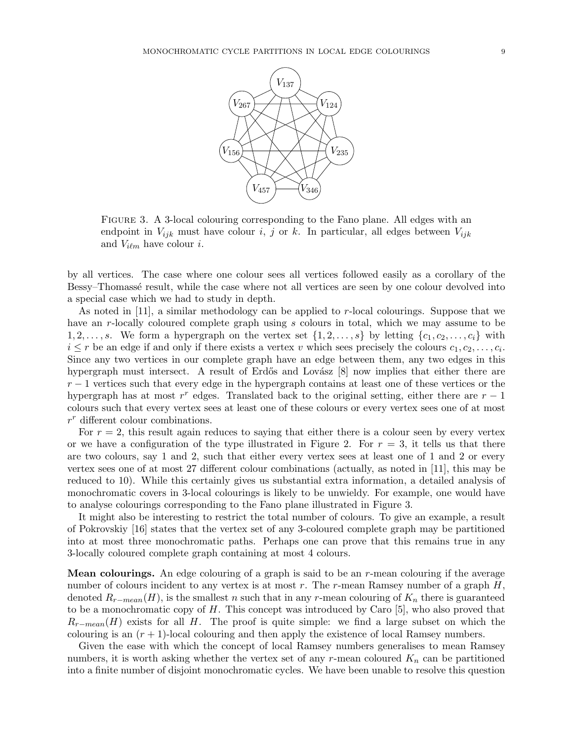

Figure 3. A 3-local colouring corresponding to the Fano plane. All edges with an endpoint in  $V_{ijk}$  must have colour i, j or k. In particular, all edges between  $V_{ijk}$ and  $V_{i\ell m}$  have colour *i*.

by all vertices. The case where one colour sees all vertices followed easily as a corollary of the Bessy–Thomassé result, while the case where not all vertices are seen by one colour devolved into a special case which we had to study in depth.

As noted in [11], a similar methodology can be applied to r-local colourings. Suppose that we have an r-locally coloured complete graph using s colours in total, which we may assume to be 1, 2, ..., s. We form a hypergraph on the vertex set  $\{1, 2, \ldots, s\}$  by letting  $\{c_1, c_2, \ldots, c_i\}$  with  $i \leq r$  be an edge if and only if there exists a vertex v which sees precisely the colours  $c_1, c_2, \ldots, c_i$ . Since any two vertices in our complete graph have an edge between them, any two edges in this hypergraph must intersect. A result of Erdős and Lovász  $[8]$  now implies that either there are  $r-1$  vertices such that every edge in the hypergraph contains at least one of these vertices or the hypergraph has at most  $r^r$  edges. Translated back to the original setting, either there are  $r - 1$ colours such that every vertex sees at least one of these colours or every vertex sees one of at most  $r^r$  different colour combinations.

For  $r = 2$ , this result again reduces to saying that either there is a colour seen by every vertex or we have a configuration of the type illustrated in Figure 2. For  $r = 3$ , it tells us that there are two colours, say 1 and 2, such that either every vertex sees at least one of 1 and 2 or every vertex sees one of at most 27 different colour combinations (actually, as noted in [11], this may be reduced to 10). While this certainly gives us substantial extra information, a detailed analysis of monochromatic covers in 3-local colourings is likely to be unwieldy. For example, one would have to analyse colourings corresponding to the Fano plane illustrated in Figure 3.

It might also be interesting to restrict the total number of colours. To give an example, a result of Pokrovskiy [16] states that the vertex set of any 3-coloured complete graph may be partitioned into at most three monochromatic paths. Perhaps one can prove that this remains true in any 3-locally coloured complete graph containing at most 4 colours.

**Mean colourings.** An edge colouring of a graph is said to be an  $r$ -mean colouring if the average number of colours incident to any vertex is at most  $r$ . The  $r$ -mean Ramsey number of a graph  $H$ , denoted  $R_{r-mean}(H)$ , is the smallest n such that in any r-mean colouring of  $K_n$  there is guaranteed to be a monochromatic copy of  $H$ . This concept was introduced by Caro  $[5]$ , who also proved that  $R_{r-mean}(H)$  exists for all H. The proof is quite simple: we find a large subset on which the colouring is an  $(r + 1)$ -local colouring and then apply the existence of local Ramsey numbers.

Given the ease with which the concept of local Ramsey numbers generalises to mean Ramsey numbers, it is worth asking whether the vertex set of any r-mean coloured  $K_n$  can be partitioned into a finite number of disjoint monochromatic cycles. We have been unable to resolve this question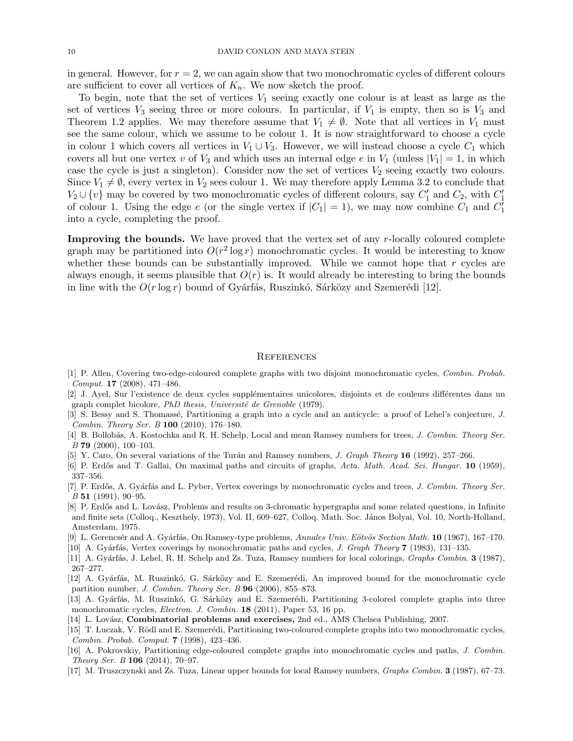in general. However, for  $r = 2$ , we can again show that two monochromatic cycles of different colours are sufficient to cover all vertices of  $K_n$ . We now sketch the proof.

To begin, note that the set of vertices  $V_1$  seeing exactly one colour is at least as large as the set of vertices  $V_3$  seeing three or more colours. In particular, if  $V_1$  is empty, then so is  $V_3$  and Theorem 1.2 applies. We may therefore assume that  $V_1 \neq \emptyset$ . Note that all vertices in  $V_1$  must see the same colour, which we assume to be colour 1. It is now straightforward to choose a cycle in colour 1 which covers all vertices in  $V_1 \cup V_3$ . However, we will instead choose a cycle  $C_1$  which covers all but one vertex v of  $V_3$  and which uses an internal edge e in  $V_1$  (unless  $|V_1| = 1$ , in which case the cycle is just a singleton). Consider now the set of vertices  $V_2$  seeing exactly two colours. Since  $V_1 \neq \emptyset$ , every vertex in  $V_2$  sees colour 1. We may therefore apply Lemma 3.2 to conclude that  $V_2 \cup \{v\}$  may be covered by two monochromatic cycles of different colours, say  $C'_1$  and  $C_2$ , with  $C'_1$ of colour 1. Using the edge e (or the single vertex if  $|C_1| = 1$ ), we may now combine  $C_1$  and  $C_1^{\overline{\imath}}$ into a cycle, completing the proof.

Improving the bounds. We have proved that the vertex set of any r-locally coloured complete graph may be partitioned into  $O(r^2 \log r)$  monochromatic cycles. It would be interesting to know whether these bounds can be substantially improved. While we cannot hope that  $r$  cycles are always enough, it seems plausible that  $O(r)$  is. It would already be interesting to bring the bounds in line with the  $O(r \log r)$  bound of Gyárfás, Ruszinkó, Sárközy and Szemerédi [12].

#### **REFERENCES**

- [1] P. Allen, Covering two-edge-coloured complete graphs with two disjoint monochromatic cycles, Combin. Probab. Comput. 17 (2008), 471–486.
- [2] J. Ayel, Sur l'existence de deux cycles supplémentaires unicolores, disjoints et de couleurs différentes dans un graph complet bicolore,  $PhD$  thesis, Université de Grenoble (1979).
- [3] S. Bessy and S. Thomassé, Partitioning a graph into a cycle and an anticycle: a proof of Lehel's conjecture, J. Combin. Theory Ser. B 100 (2010), 176–180.
- [4] B. Bollobás, A. Kostochka and R. H. Schelp, Local and mean Ramsey numbers for trees, J. Combin. Theory Ser. B 79 (2000), 100–103.
- [5] Y. Caro, On several variations of the Turán and Ramsey numbers, *J. Graph Theory* 16 (1992), 257–266.
- [6] P. Erdős and T. Gallai, On maximal paths and circuits of graphs, Acta. Math. Acad. Sci. Hungar. 10 (1959), 337–356.
- [7] P. Erdős, A. Gyárfás and L. Pyber, Vertex coverings by monochromatic cycles and trees, J. Combin. Theory Ser.  $B$  51 (1991), 90–95.
- [8] P. Erdős and L. Lovász, Problems and results on 3-chromatic hypergraphs and some related questions, in Infinite and finite sets (Colloq., Keszthely, 1973), Vol. II, 609–627, Colloq. Math. Soc. János Bolyai, Vol. 10, North-Holland, Amsterdam, 1975.
- [9] L. Gerencsér and A. Gyárfás, On Ramsey-type problems, Annales Univ. Eötvös Section Math.  $10(1967)$ , 167–170.
- [10] A. Gyárfás, Vertex coverings by monochromatic paths and cycles, J. Graph Theory  $7$  (1983), 131–135.
- [11] A. Gyárfás, J. Lehel, R. H. Schelp and Zs. Tuza, Ramsey numbers for local colorings, *Graphs Combin.* 3 (1987), 267–277.
- [12] A. Gyárfás, M. Ruszinkó, G. Sárközy and E. Szemerédi, An improved bound for the monochromatic cycle partition number, J. Combin. Theory Ser. B 96 (2006), 855–873.
- [13] A. Gyárfás, M. Ruszinkó, G. Sárközy and E. Szemerédi, Partitioning 3-colored complete graphs into three monochromatic cycles, Electron. J. Combin. 18 (2011), Paper 53, 16 pp.
- [14] L. Lovász, **Combinatorial problems and exercises**, 2nd ed., AMS Chelsea Publishing, 2007.
- [15] T. Luczak, V. Rödl and E. Szemerédi, Partitioning two-coloured complete graphs into two monochromatic cycles, Combin. Probab. Comput. 7 (1998), 423–436.
- [16] A. Pokrovskiy, Partitioning edge-coloured complete graphs into monochromatic cycles and paths, J. Combin. Theory Ser. B 106 (2014), 70–97.
- [17] M. Truszczynski and Zs. Tuza, Linear upper bounds for local Ramsey numbers, Graphs Combin. 3 (1987), 67-73.